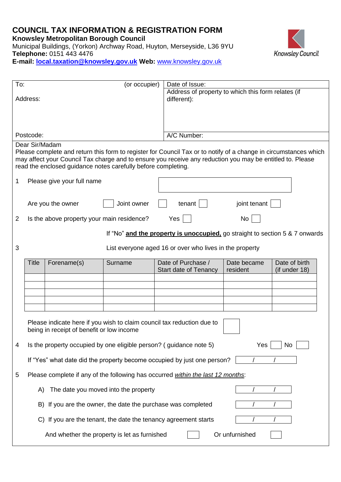## **COUNCIL TAX INFORMATION & REGISTRATION FORM**

**Knowsley Metropolitan Borough Council** 

Municipal Buildings, (Yorkon) Archway Road, Huyton, Merseyside, L36 9YU **Telephone:** 0151 443 4476 **E-mail: [local.taxation@knowsley.gov.uk](mailto:local.taxation@knowsley.gov.uk) Web:** [www.knowsley.gov.uk](http://www.knowsley.gov.uk/)



| To:<br>(or occupier)                                                                 |                                                                 |                                                               | Date of Issue: |                                                                                                                                                                                                                               |                         |                                |  |  |  |
|--------------------------------------------------------------------------------------|-----------------------------------------------------------------|---------------------------------------------------------------|----------------|-------------------------------------------------------------------------------------------------------------------------------------------------------------------------------------------------------------------------------|-------------------------|--------------------------------|--|--|--|
| Address:                                                                             |                                                                 |                                                               |                | Address of property to which this form relates (if<br>different):                                                                                                                                                             |                         |                                |  |  |  |
|                                                                                      | Postcode:                                                       |                                                               |                | A/C Number:                                                                                                                                                                                                                   |                         |                                |  |  |  |
|                                                                                      | Dear Sir/Madam                                                  | read the enclosed guidance notes carefully before completing. |                | Please complete and return this form to register for Council Tax or to notify of a change in circumstances which<br>may affect your Council Tax charge and to ensure you receive any reduction you may be entitled to. Please |                         |                                |  |  |  |
| 1                                                                                    | Please give your full name                                      |                                                               |                |                                                                                                                                                                                                                               |                         |                                |  |  |  |
|                                                                                      |                                                                 | Are you the owner                                             | Joint owner    | tenant                                                                                                                                                                                                                        | joint tenant            |                                |  |  |  |
| 2                                                                                    |                                                                 | Is the above property your main residence?                    |                | Yes                                                                                                                                                                                                                           | No                      |                                |  |  |  |
|                                                                                      |                                                                 |                                                               |                | If "No" and the property is unoccupied, go straight to section 5 & 7 onwards                                                                                                                                                  |                         |                                |  |  |  |
| 3                                                                                    |                                                                 | List everyone aged 16 or over who lives in the property       |                |                                                                                                                                                                                                                               |                         |                                |  |  |  |
|                                                                                      | Title                                                           | Forename(s)                                                   | Surname        | Date of Purchase /<br><b>Start date of Tenancy</b>                                                                                                                                                                            | Date became<br>resident | Date of birth<br>(if under 18) |  |  |  |
|                                                                                      |                                                                 |                                                               |                |                                                                                                                                                                                                                               |                         |                                |  |  |  |
|                                                                                      |                                                                 | being in receipt of benefit or low income                     |                | Please indicate here if you wish to claim council tax reduction due to                                                                                                                                                        |                         |                                |  |  |  |
| 4                                                                                    |                                                                 |                                                               |                | Is the property occupied by one eligible person? (guidance note 5)                                                                                                                                                            | Yes                     | <b>No</b>                      |  |  |  |
| If "Yes" what date did the property become occupied by just one person?              |                                                                 |                                                               |                |                                                                                                                                                                                                                               |                         |                                |  |  |  |
| Please complete if any of the following has occurred within the last 12 months:<br>5 |                                                                 |                                                               |                |                                                                                                                                                                                                                               |                         |                                |  |  |  |
|                                                                                      | The date you moved into the property<br>A)                      |                                                               |                |                                                                                                                                                                                                                               |                         |                                |  |  |  |
|                                                                                      | If you are the owner, the date the purchase was completed<br>B) |                                                               |                |                                                                                                                                                                                                                               |                         |                                |  |  |  |
|                                                                                      | If you are the tenant, the date the tenancy agreement starts    |                                                               |                |                                                                                                                                                                                                                               |                         |                                |  |  |  |
|                                                                                      |                                                                 | And whether the property is let as furnished                  |                |                                                                                                                                                                                                                               | Or unfurnished          |                                |  |  |  |